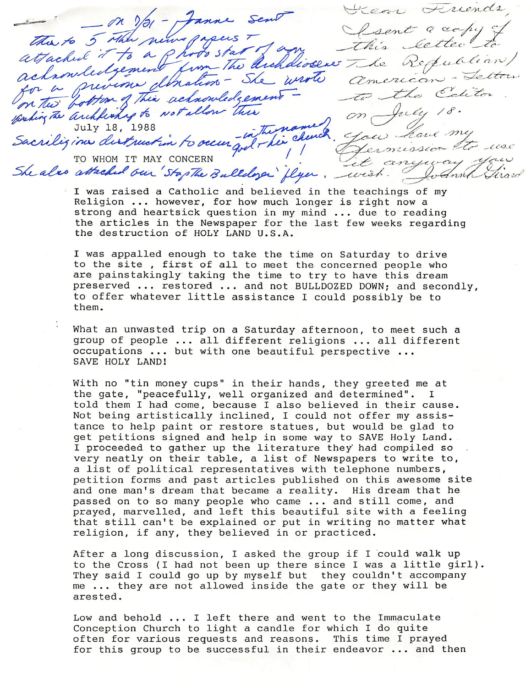$-$  on  $y_{0}$  - Janne sent Secon Friends anchlickness to notallow there are not on July 18. The Archdissers The Refu<br>- She wrote american<br>Colgement - to the July 18, 1988  $\overline{M}\overline{L}$  ,  $\overline{M}\overline{L}$  ,  $\overline{M}\overline{L}$ TO WHOM IT MAY CONCERN TO WHOM IT ARE CONCERN

I was raised a Catholic and believed in the teachings of my Religion ... however, for how much longer is right now a strong and heartsick question in my mind ... due to reading the articles in the Newspaper for the last few weeks regarding the destruction of HOLY LAND U.S.A.

I was appalled enough to take the time on Saturday to drive to the site, first of all to meet the concerned people who are painstakingly taking the time to try to have this dream preserved ... restored ... and not BULLDOZED DOWN; and secondly, to offer whatever little assistance I could possibly be to them.

What an unwasted trip on a Saturday afternoon, to meet such a group of people ... all different religions ... all different occupations ... but with one beautiful perspective ... SAVE HOLY LAND!

With no "tin money cups" in their hands, they greeted me at the gate, "peacefully, well organized and determined". I told them I had come, because I also believed in their cause. Not being artistically inclined, I could not offer my assistance to help paint or restore statues, but would be glad to get petitions signed and help in some way to SAVE Holy Land. I proceeded to gather up the literature they had compiled so very neatly on their table, a list of Newspapers to write to, a list of political representatives with telephone numbers, petition forms and past articles published on this awesome site and one man's dream that became a reality. His dream that he passed on to so many people who came ... and still come, and prayed, marvelled, and left this beautiful site with a feeling that still can't be explained or put in writing no matter what religion, if any, they believed in or practiced.

After a long discussion, I asked the group if I could walk up to the Cross (I had not been up there since I was a little girl). They said I could go up by myself but they couldn't accompany me ... they are not allowed inside the gate or they will be arested.

Low and behold  $\ldots$  I left there and went to the Immaculate Conception Church to light a candle for which I do quite often for various requests and reasons. This time I prayed for this group to be successful in their endeavor ... and then